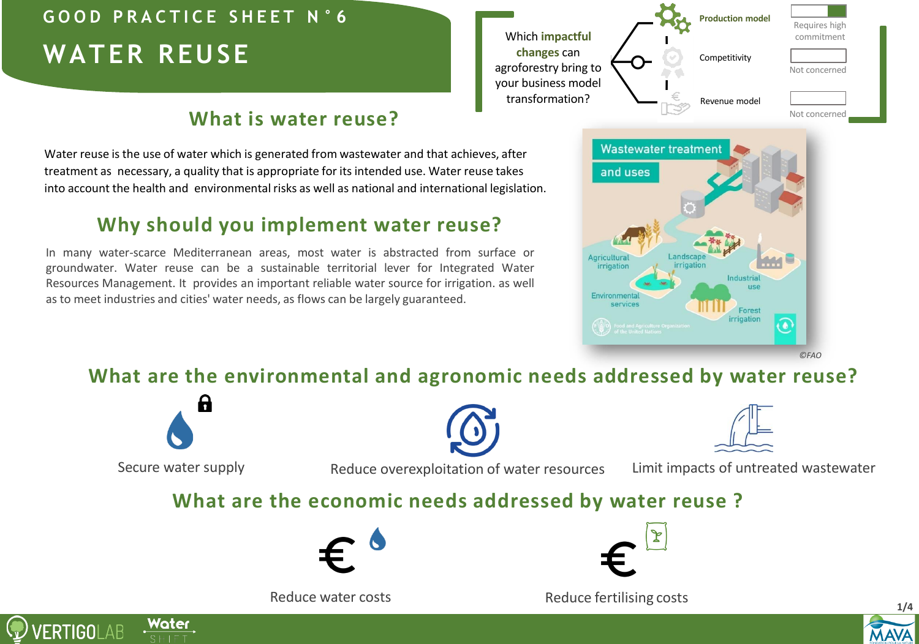# **WATER REUSE G O O D P R A C T I C E S H E E T N ° 6**

## **What is water reuse?**

Water reuse is the use of water which is generated from wastewater and that achieves, after treatment as necessary, a quality that is appropriate for its intended use. Water reuse takes into account the health and environmental risks as well as national and international legislation.

### **Why should you implement water reuse?**

In many water-scarce Mediterranean areas, most water is abstracted from surface or groundwater. Water reuse can be a sustainable territorial lever for Integrated Water Resources Management. It provides an important reliable water source for irrigation. as well as to meet industries and cities' water needs, as flows can be largely guaranteed.





*©FAO*

### **What are the environmental and agronomic needs addressed by water reuse?**



Water

**/ERTIGOLAB** 

Secure water supply **Reduce overexploitation of water resources** Limit impacts of untreated wastewater

#### **What are the economic needs addressed by water reuse ?**







Reduce water costs **Reduce fertilising costs 1/4** 

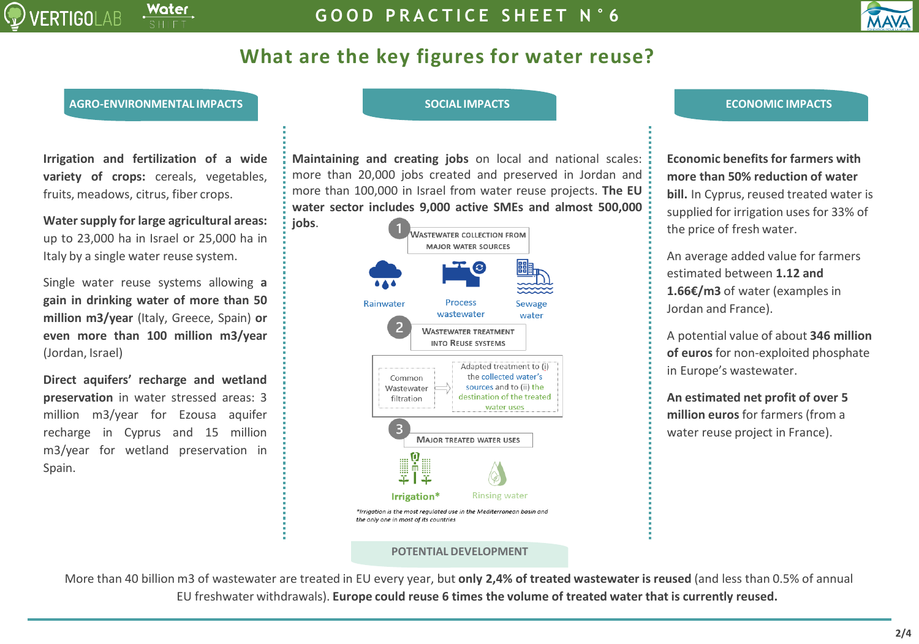

## **What are the key figures for water reuse?**

#### **AGRO-ENVIRONMENTAL IMPACTS SOCIAL IMPACTS ECONOMIC IMPACTS**

**Irrigation and fertilization of a wide variety of crops:** cereals, vegetables, fruits, meadows, citrus, fiber crops.

**Watersupply for large agricultural areas:** up to 23,000 ha in Israel or 25,000 ha in Italy by a single water reuse system.

Single water reuse systems allowing **a gain in drinking water of more than 50 million m3/year** (Italy, Greece, Spain) **or even more than 100 million m3/year** (Jordan, Israel)

**Direct aquifers' recharge and wetland preservation** in water stressed areas: 3 million m3/year for Ezousa aquifer recharge in Cyprus and 15 million m3/year for wetland preservation in Spain.

**Maintaining and creating jobs** on local and national scales: more than 20,000 jobs created and preserved in Jordan and more than 100,000 in Israel from water reuse projects. **The EU water sector includes 9,000 active SMEs and almost 500,000 jobs**.



#### **POTENTIAL DEVELOPMENT**

**Economic benefits for farmers with more than 50% reduction of water bill.** In Cyprus, reused treated water is supplied for irrigation uses for 33% of the price of fresh water.

An average added value for farmers estimated between **1.12 and 1.66€/m3** of water (examples in Jordan and France).

A potential value of about **346 million of euros** for non-exploited phosphate in Europe's wastewater.

**An estimated net profit of over 5 million euros** for farmers (from a water reuse project in France).

More than 40 billion m3 of wastewater are treated in EU every year, but **only 2,4% of treated wastewater is reused** (and less than 0.5% of annual EU freshwater withdrawals). **Europe could reuse 6 times the volume of treated water that is currently reused.**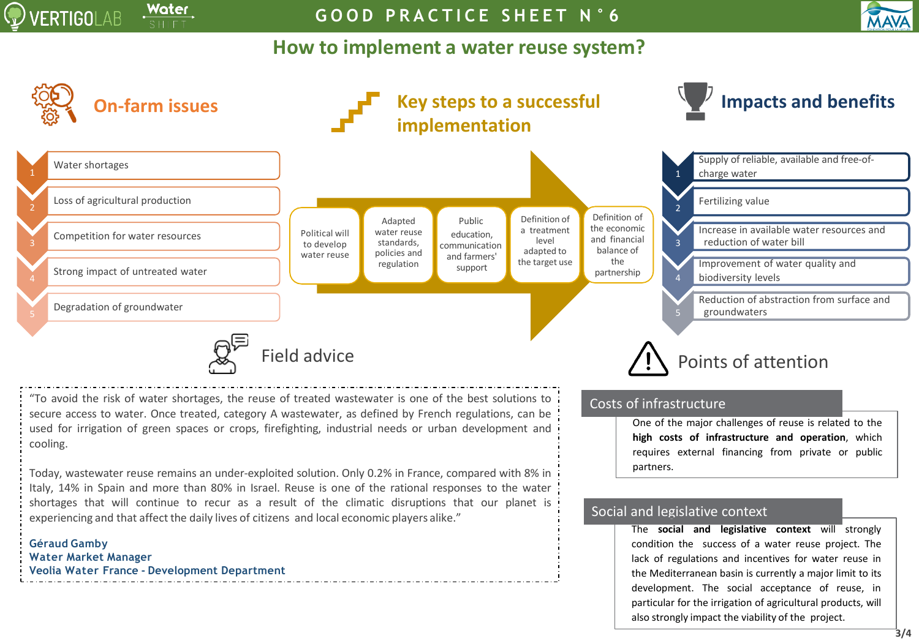

**G O O D P R A C T I C E S H E E T N ° 6**

#### **How to implement a water reuse system?**



**MAVA**